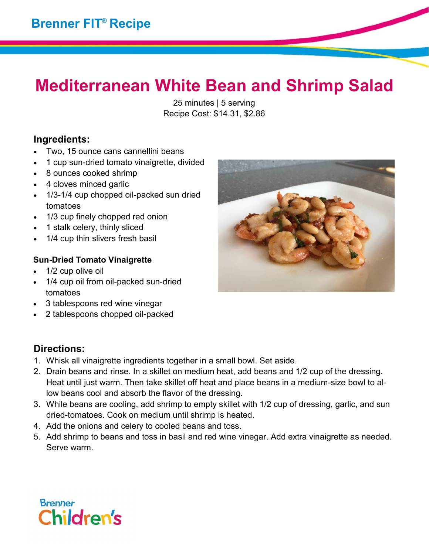## **Mediterranean White Bean and Shrimp Salad**

25 minutes | 5 serving Recipe Cost: \$14.31, \$2.86

## **Ingredients:**

- Two, 15 ounce cans cannellini beans
- 1 cup sun-dried tomato vinaigrette, divided
- 8 ounces cooked shrimp
- 4 cloves minced garlic
- 1/3-1/4 cup chopped oil-packed sun dried tomatoes
- 1/3 cup finely chopped red onion
- 1 stalk celery, thinly sliced
- 1/4 cup thin slivers fresh basil

### **Sun-Dried Tomato Vinaigrette**

- 1/2 cup olive oil
- 1/4 cup oil from oil-packed sun-dried tomatoes
- 3 tablespoons red wine vinegar
- 2 tablespoons chopped oil-packed

## **Directions:**

- 1. Whisk all vinaigrette ingredients together in a small bowl. Set aside.
- 2. Drain beans and rinse. In a skillet on medium heat, add beans and 1/2 cup of the dressing. Heat until just warm. Then take skillet off heat and place beans in a medium-size bowl to allow beans cool and absorb the flavor of the dressing.
- 3. While beans are cooling, add shrimp to empty skillet with 1/2 cup of dressing, garlic, and sun dried-tomatoes. Cook on medium until shrimp is heated.
- 4. Add the onions and celery to cooled beans and toss.
- 5. Add shrimp to beans and toss in basil and red wine vinegar. Add extra vinaigrette as needed. Serve warm.